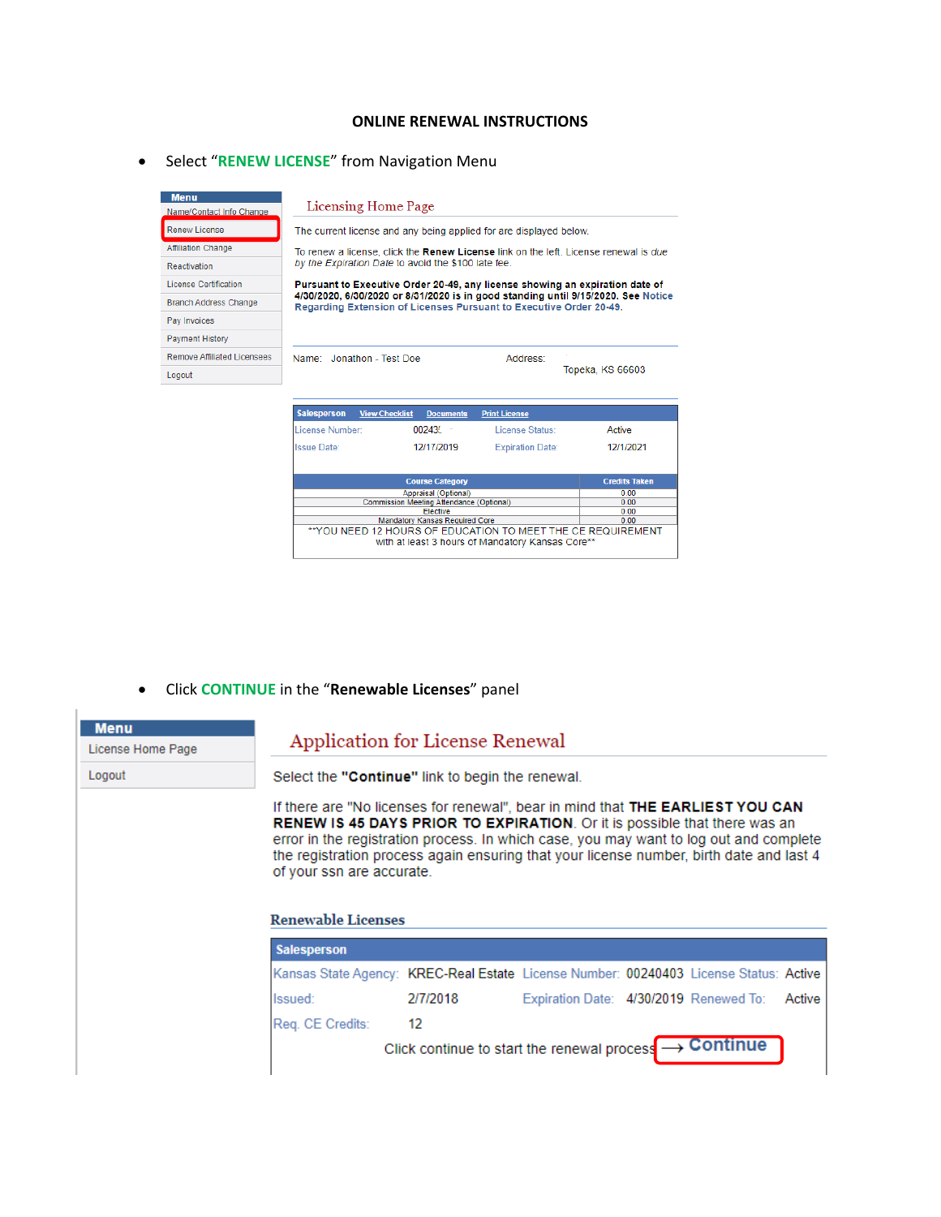#### **ONLINE RENEWAL INSTRUCTIONS**

## **•** Select "**RENEW LICENSE**" from Navigation Menu

| <b>Menu</b><br>Name/Contact Info Change | Licensing Home Page                                                                                                                                     |                      |                  |  |  |
|-----------------------------------------|---------------------------------------------------------------------------------------------------------------------------------------------------------|----------------------|------------------|--|--|
| <b>Renew License</b>                    | The current license and any being applied for are displayed below.                                                                                      |                      |                  |  |  |
| <b>Affiliation Change</b>               | To renew a license, click the Renew License link on the left. License renewal is due                                                                    |                      |                  |  |  |
| Reactivation                            | by the Expiration Date to avoid the \$100 late fee.                                                                                                     |                      |                  |  |  |
| <b>License Certification</b>            | Pursuant to Executive Order 20-49, any license showing an expiration date of                                                                            |                      |                  |  |  |
| <b>Branch Address Change</b>            | 4/30/2020, 6/30/2020 or 8/31/2020 is in good standing until 9/15/2020. See Notice<br>Regarding Extension of Licenses Pursuant to Executive Order 20-49. |                      |                  |  |  |
| Pay Invoices                            |                                                                                                                                                         |                      |                  |  |  |
| <b>Payment History</b>                  |                                                                                                                                                         |                      |                  |  |  |
| <b>Remove Affiliated Licensees</b>      | Name: Jonathon - Test Doe                                                                                                                               | Address:             |                  |  |  |
| Logout                                  |                                                                                                                                                         |                      | Topeka, KS 66603 |  |  |
|                                         |                                                                                                                                                         |                      |                  |  |  |
|                                         | <b>Salesperson</b><br><b>View Checklist</b><br><b>Documents</b>                                                                                         | <b>Print License</b> |                  |  |  |
|                                         | 00243<br>License Number:                                                                                                                                | License Status:      | Active           |  |  |

| LICCIOC INJIINCI.                                                                                               | UUZ <del>T</del> JL                      | LILCHOC ULGULO.         | Aure                 |  |  |
|-----------------------------------------------------------------------------------------------------------------|------------------------------------------|-------------------------|----------------------|--|--|
| <b>Issue Date:</b>                                                                                              | 12/17/2019                               | <b>Expiration Date:</b> | 12/1/2021            |  |  |
|                                                                                                                 | <b>Course Category</b>                   |                         | <b>Credits Taken</b> |  |  |
|                                                                                                                 | 0.00                                     |                         |                      |  |  |
|                                                                                                                 | Commission Meeting Attendance (Optional) |                         |                      |  |  |
|                                                                                                                 | Elective                                 |                         | 0.00                 |  |  |
| <b>Mandatory Kansas Required Core</b>                                                                           | 0.00                                     |                         |                      |  |  |
| **YOU NEED 12 HOURS OF EDUCATION TO MEET THE CE REQUIREMENT<br>with at least 3 hours of Mandatory Kansas Core** |                                          |                         |                      |  |  |

#### Click **CONTINUE** in the "**Renewable Licenses**" panel

| <b>Menu</b>       |
|-------------------|
| License Home Page |
| Logout            |
|                   |

# Application for License Renewal

Select the "Continue" link to begin the renewal.

If there are "No licenses for renewal", bear in mind that THE EARLIEST YOU CAN RENEW IS 45 DAYS PRIOR TO EXPIRATION. Or it is possible that there was an error in the registration process. In which case, you may want to log out and complete the registration process again ensuring that your license number, birth date and last 4 of your ssn are accurate.

#### **Renewable Licenses**

| <b>Salesperson</b>                                                                    |                                                                        |                                               |  |  |
|---------------------------------------------------------------------------------------|------------------------------------------------------------------------|-----------------------------------------------|--|--|
| Kansas State Agency: KREC-Real Estate License Number: 00240403 License Status: Active |                                                                        |                                               |  |  |
| Issued:                                                                               | 2/7/2018                                                               | Expiration Date: 4/30/2019 Renewed To: Active |  |  |
| Reg. CE Credits:                                                                      | 12                                                                     |                                               |  |  |
|                                                                                       | Click continue to start the renewal process $\longrightarrow$ Continue |                                               |  |  |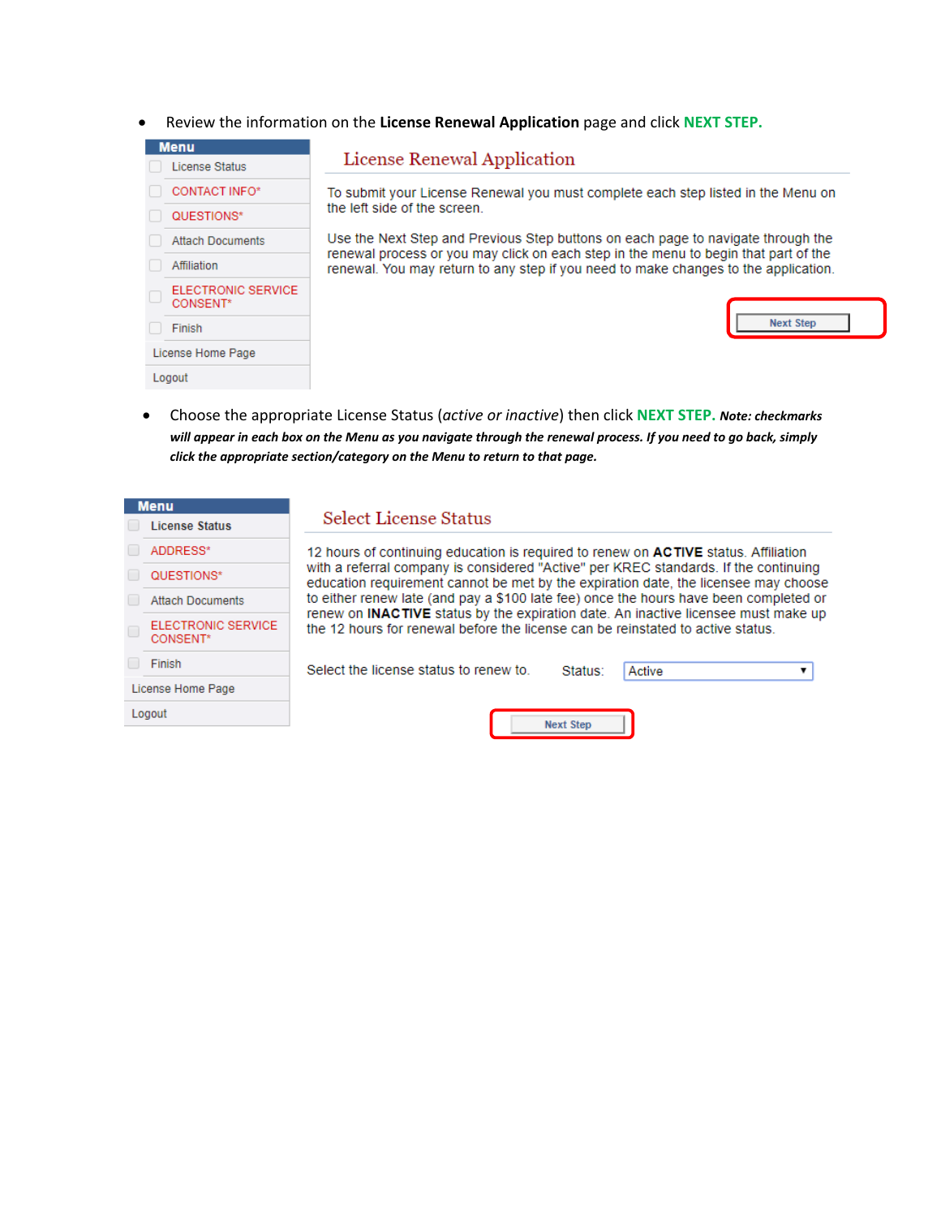Review the information on the **License Renewal Application** page and click **NEXT STEP.**

| License Renewal Application                                                                                                                                             |  |  |  |  |  |  |
|-------------------------------------------------------------------------------------------------------------------------------------------------------------------------|--|--|--|--|--|--|
| To submit your License Renewal you must complete each step listed in the Menu on                                                                                        |  |  |  |  |  |  |
| the left side of the screen.                                                                                                                                            |  |  |  |  |  |  |
| Use the Next Step and Previous Step buttons on each page to navigate through the<br>renewal process or you may click on each step in the menu to begin that part of the |  |  |  |  |  |  |
| renewal. You may return to any step if you need to make changes to the application.                                                                                     |  |  |  |  |  |  |
|                                                                                                                                                                         |  |  |  |  |  |  |
| <b>Next Step</b>                                                                                                                                                        |  |  |  |  |  |  |
|                                                                                                                                                                         |  |  |  |  |  |  |
|                                                                                                                                                                         |  |  |  |  |  |  |
|                                                                                                                                                                         |  |  |  |  |  |  |

 Choose the appropriate License Status (*active or inactive*) then click **NEXT STEP.** *Note: checkmarks will appear in each box on the Menu as you navigate through the renewal process. If you need to go back, simply click the appropriate section/category on the Menu to return to that page.*

|        | <b>Menu</b>                           |                                                                                                                                                                             |
|--------|---------------------------------------|-----------------------------------------------------------------------------------------------------------------------------------------------------------------------------|
|        | <b>License Status</b>                 | Select License Status                                                                                                                                                       |
|        | ADDRESS*                              | 12 hours of continuing education is required to renew on <b>ACTIVE</b> status. Affiliation                                                                                  |
|        | QUESTIONS*                            | with a referral company is considered "Active" per KREC standards. If the continuing<br>education requirement cannot be met by the expiration date, the licensee may choose |
|        | <b>Attach Documents</b>               | to either renew late (and pay a \$100 late fee) once the hours have been completed or                                                                                       |
| $\Box$ | <b>ELECTRONIC SERVICE</b><br>CONSENT* | renew on INACTIVE status by the expiration date. An inactive licensee must make up<br>the 12 hours for renewal before the license can be reinstated to active status.       |
|        | Finish                                | Select the license status to renew to.<br>Active<br>Status:                                                                                                                 |
|        | License Home Page                     |                                                                                                                                                                             |
|        | Logout                                | <b>Next Step</b>                                                                                                                                                            |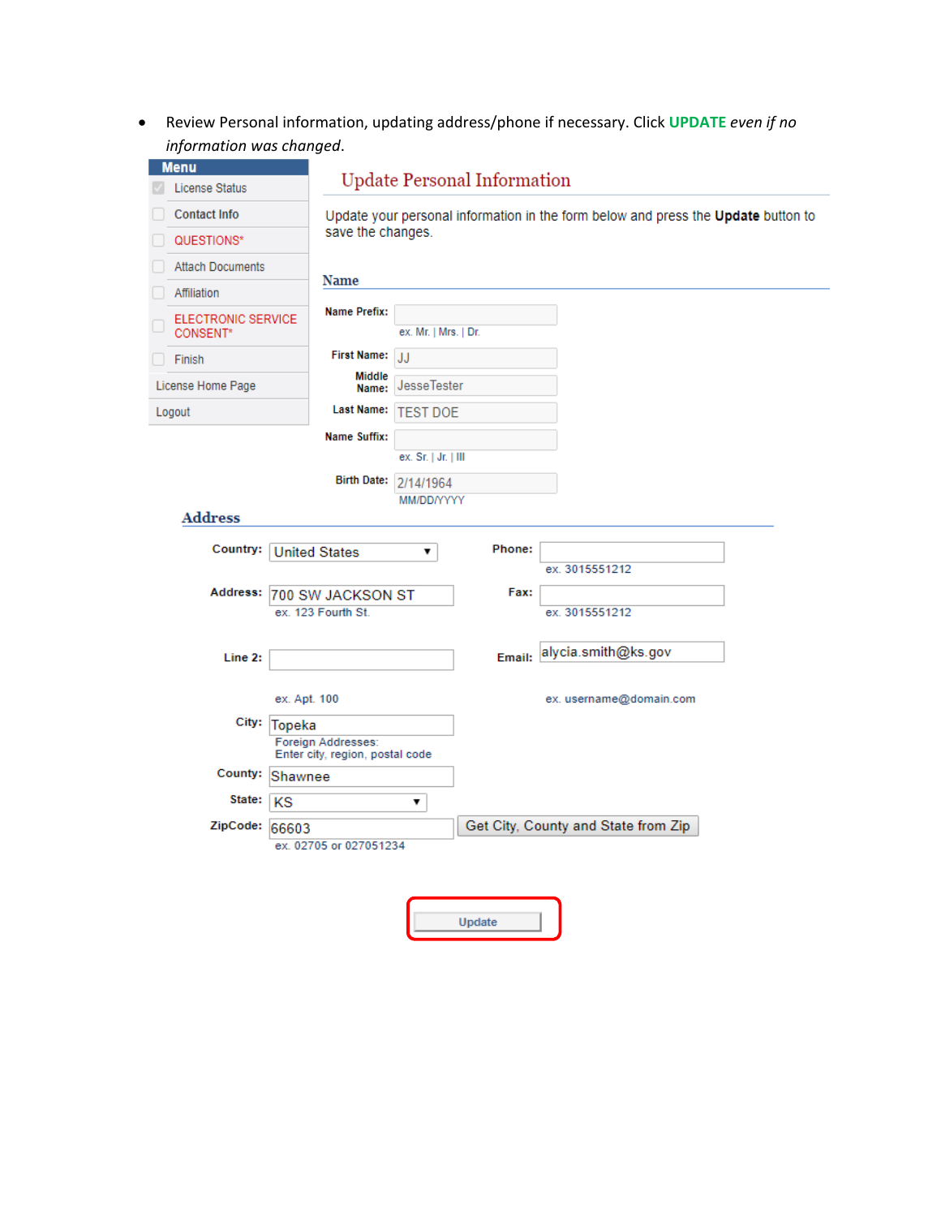Review Personal information, updating address/phone if necessary. Click **UPDATE** *even if no information was changed*.

| <b>Menu</b>                           |                                                       |                                                                                   |        |                         |  |  |
|---------------------------------------|-------------------------------------------------------|-----------------------------------------------------------------------------------|--------|-------------------------|--|--|
| <b>License Status</b>                 |                                                       | <b>Update Personal Information</b>                                                |        |                         |  |  |
| <b>Contact Info</b>                   |                                                       | Update your personal information in the form below and press the Update button to |        |                         |  |  |
| QUESTIONS*                            |                                                       | save the changes.                                                                 |        |                         |  |  |
| <b>Attach Documents</b>               |                                                       |                                                                                   |        |                         |  |  |
| Affiliation                           | Name                                                  |                                                                                   |        |                         |  |  |
| <b>ELECTRONIC SERVICE</b><br>CONSENT* | <b>Name Prefix:</b>                                   | ex. Mr.   Mrs.   Dr.                                                              |        |                         |  |  |
| Finish                                | <b>First Name:</b>                                    | JJ                                                                                |        |                         |  |  |
| License Home Page                     | <b>Middle</b><br>Name:                                | <b>JesseTester</b>                                                                |        |                         |  |  |
| Logout                                | <b>Last Name:</b>                                     | <b>TEST DOE</b>                                                                   |        |                         |  |  |
|                                       | Name Suffix:                                          |                                                                                   |        |                         |  |  |
|                                       |                                                       | ex. Sr.   Jr.   III                                                               |        |                         |  |  |
|                                       | <b>Birth Date:</b>                                    | 2/14/1964                                                                         |        |                         |  |  |
| <b>Address</b>                        |                                                       | MM/DD/YYYY                                                                        |        |                         |  |  |
| Country:                              | <b>United States</b>                                  | ▼                                                                                 | Phone: |                         |  |  |
|                                       |                                                       |                                                                                   |        | ex. 3015551212          |  |  |
|                                       | Address: 700 SW JACKSON ST<br>ex. 123 Fourth St.      |                                                                                   | Fax:   | ex. 3015551212          |  |  |
|                                       |                                                       |                                                                                   |        |                         |  |  |
| Line 2:                               |                                                       |                                                                                   | Email: | alycia.smith@ks.gov     |  |  |
|                                       | ex. Apt. 100                                          |                                                                                   |        | ex. username@domain.com |  |  |
|                                       | City: Topeka                                          |                                                                                   |        |                         |  |  |
|                                       | Foreign Addresses:<br>Enter city, region, postal code |                                                                                   |        |                         |  |  |
|                                       | Shawnee                                               |                                                                                   |        |                         |  |  |
| County:                               |                                                       |                                                                                   |        |                         |  |  |
| State:                                | KS                                                    | 7                                                                                 |        |                         |  |  |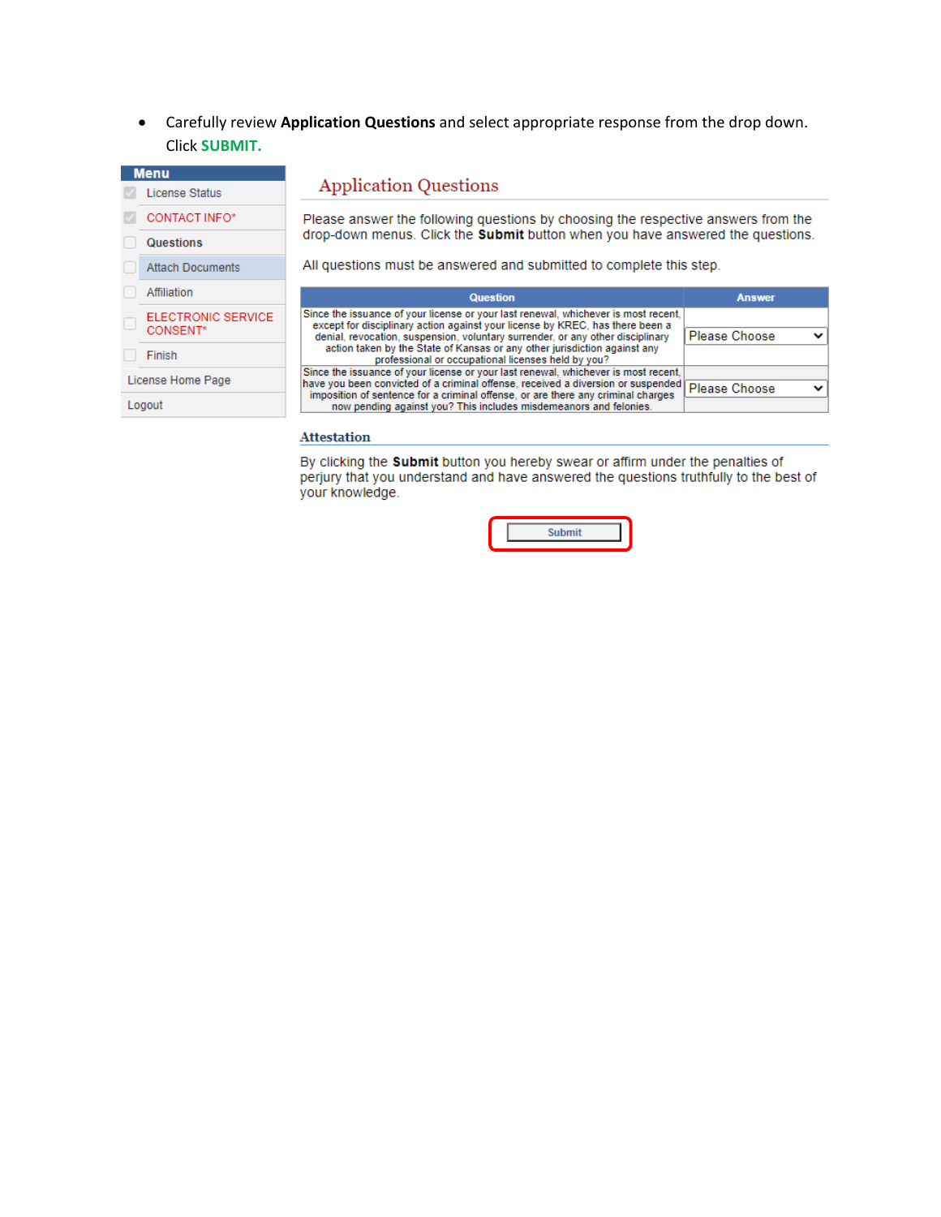Carefully review **Application Questions** and select appropriate response from the drop down. Click **SUBMIT.**

| <b>Menu</b>                           |                                                                                                                                                                                                                                                            |                      |  |  |  |  |  |  |
|---------------------------------------|------------------------------------------------------------------------------------------------------------------------------------------------------------------------------------------------------------------------------------------------------------|----------------------|--|--|--|--|--|--|
| License Status                        | <b>Application Questions</b>                                                                                                                                                                                                                               |                      |  |  |  |  |  |  |
| <b>CONTACT INFO*</b>                  | Please answer the following questions by choosing the respective answers from the<br>drop-down menus. Click the Submit button when you have answered the questions.                                                                                        |                      |  |  |  |  |  |  |
| <b>Questions</b>                      |                                                                                                                                                                                                                                                            |                      |  |  |  |  |  |  |
| <b>Attach Documents</b>               | All questions must be answered and submitted to complete this step.                                                                                                                                                                                        |                      |  |  |  |  |  |  |
| Affiliation                           | <b>Question</b>                                                                                                                                                                                                                                            | <b>Answer</b>        |  |  |  |  |  |  |
| <b>ELECTRONIC SERVICE</b><br>CONSENT* | Since the issuance of your license or your last renewal, whichever is most recent.<br>except for disciplinary action against your license by KREC, has there been a<br>denial, revocation, suspension, voluntary surrender, or any other disciplinary      | <b>Please Choose</b> |  |  |  |  |  |  |
| Finish                                | action taken by the State of Kansas or any other jurisdiction against any<br>professional or occupational licenses held by you?                                                                                                                            |                      |  |  |  |  |  |  |
| License Home Page                     | Since the issuance of your license or your last renewal, whichever is most recent.<br>have you been convicted of a criminal offense, received a diversion or suspended<br>imposition of sentence for a criminal offense, or are there any criminal charges | Please Choose        |  |  |  |  |  |  |
| Logout                                | now pending against you? This includes misdemeanors and felonies.                                                                                                                                                                                          |                      |  |  |  |  |  |  |
|                                       |                                                                                                                                                                                                                                                            |                      |  |  |  |  |  |  |

#### **Attestation**

By clicking the **Submit** button you hereby swear or affirm under the penalties of perjury that you understand and have answered the questions truthfully to the best of your knowledge.

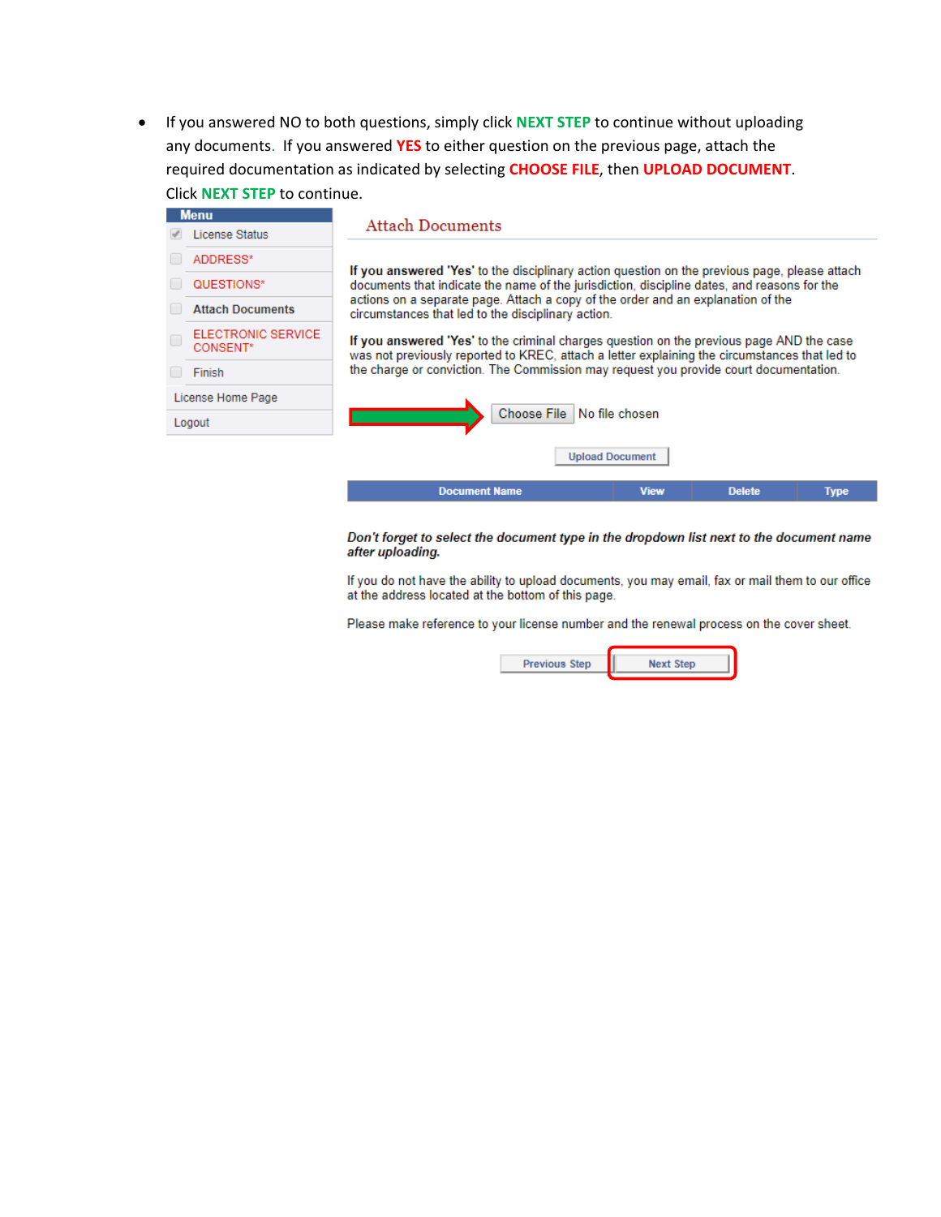• If you answered NO to both questions, simply click NEXT STEP to continue without uploading any documents. If you answered YES to either question on the previous page, attach the required documentation as indicated by selecting CHOOSE FILE, then UPLOAD DOCUMENT. Click NEXT STEP to continue.

|   | <b>Menu</b>                           |                                                                                                                                                                                                                                                                                                                                     |                        |               |             |  |  |  |  |
|---|---------------------------------------|-------------------------------------------------------------------------------------------------------------------------------------------------------------------------------------------------------------------------------------------------------------------------------------------------------------------------------------|------------------------|---------------|-------------|--|--|--|--|
|   | <b>License Status</b>                 | <b>Attach Documents</b>                                                                                                                                                                                                                                                                                                             |                        |               |             |  |  |  |  |
|   | ADDRESS*                              | If you answered 'Yes' to the disciplinary action question on the previous page, please attach                                                                                                                                                                                                                                       |                        |               |             |  |  |  |  |
|   | QUESTIONS*                            | documents that indicate the name of the jurisdiction, discipline dates, and reasons for the                                                                                                                                                                                                                                         |                        |               |             |  |  |  |  |
|   | <b>Attach Documents</b>               | actions on a separate page. Attach a copy of the order and an explanation of the<br>circumstances that led to the disciplinary action.<br>If you answered 'Yes' to the criminal charges question on the previous page AND the case<br>was not previously reported to KREC, attach a letter explaining the circumstances that led to |                        |               |             |  |  |  |  |
| Ċ | <b>ELECTRONIC SERVICE</b><br>CONSENT* |                                                                                                                                                                                                                                                                                                                                     |                        |               |             |  |  |  |  |
|   | <b>Finish</b>                         | the charge or conviction. The Commission may request you provide court documentation.                                                                                                                                                                                                                                               |                        |               |             |  |  |  |  |
|   | License Home Page                     |                                                                                                                                                                                                                                                                                                                                     |                        |               |             |  |  |  |  |
|   | Logout                                | Choose File No file chosen                                                                                                                                                                                                                                                                                                          |                        |               |             |  |  |  |  |
|   |                                       |                                                                                                                                                                                                                                                                                                                                     | <b>Upload Document</b> |               |             |  |  |  |  |
|   |                                       | <b>Document Name</b>                                                                                                                                                                                                                                                                                                                | <b>View</b>            | <b>Delete</b> | <b>Type</b> |  |  |  |  |
|   |                                       |                                                                                                                                                                                                                                                                                                                                     |                        |               |             |  |  |  |  |

Don't forget to select the document type in the dropdown list next to the document name after uploading.

If you do not have the ability to upload documents, you may email, fax or mail them to our office at the address located at the bottom of this page.

Please make reference to your license number and the renewal process on the cover sheet.

**Previous Step Next Step**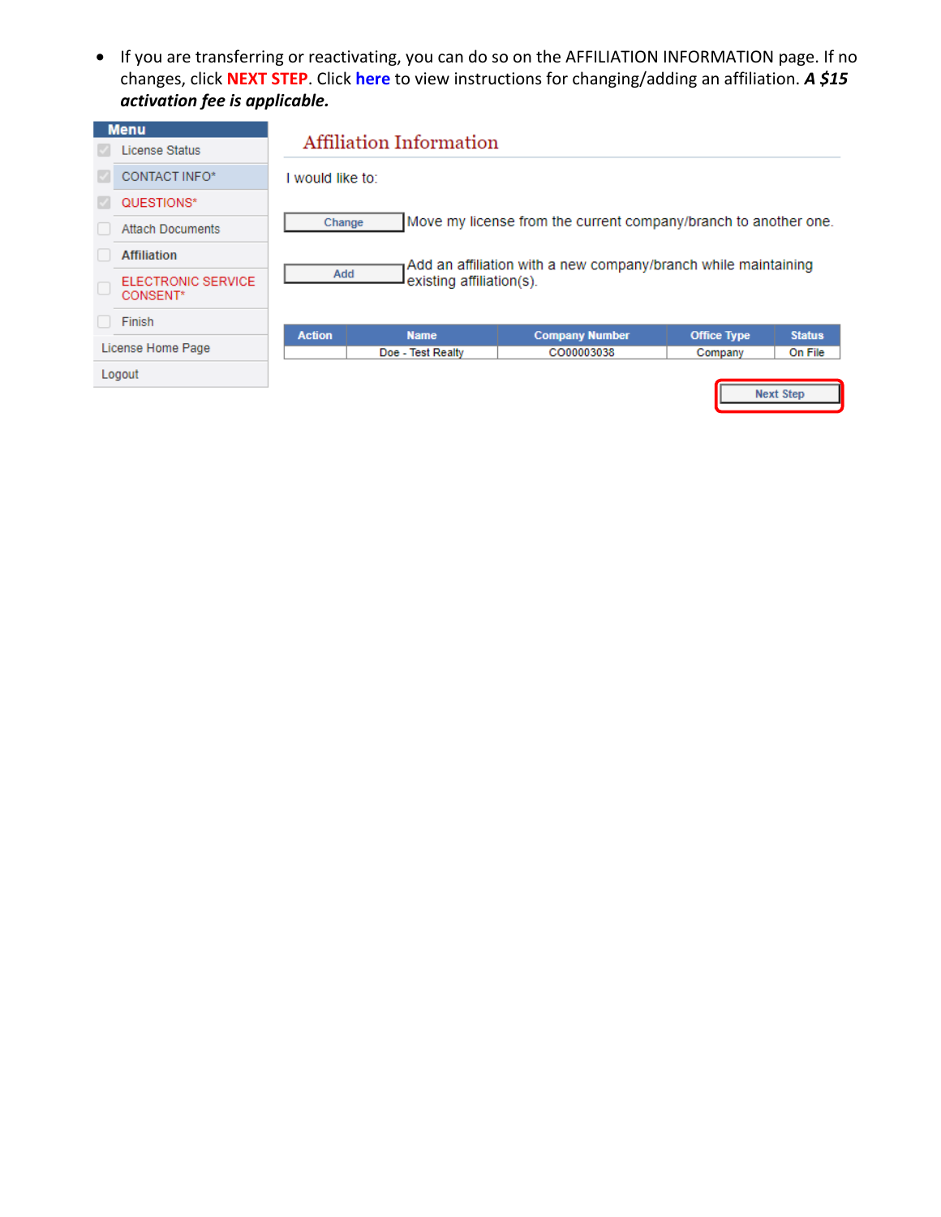• If you are transferring or reactivating, you can do so on the AFFILIATION INFORMATION page. If no changes, click **NEXT STEP**. Click **[here](https://krec.ks.gov/docs/default-source/forms/affiliation-change.pdf?sfvrsn=35296fa3_18)** to view instructions for changing/adding an affiliation. *A \$15 activation fee is applicable.*

| <b>Menu</b> |                                       | Affiliation Information                                                                           |                   |                                                                 |                    |                  |  |
|-------------|---------------------------------------|---------------------------------------------------------------------------------------------------|-------------------|-----------------------------------------------------------------|--------------------|------------------|--|
|             | License Status                        |                                                                                                   |                   |                                                                 |                    |                  |  |
|             | CONTACT INFO*                         | I would like to:                                                                                  |                   |                                                                 |                    |                  |  |
|             | QUESTIONS*                            |                                                                                                   |                   |                                                                 |                    |                  |  |
|             | <b>Attach Documents</b>               | Change                                                                                            |                   | Move my license from the current company/branch to another one. |                    |                  |  |
|             | <b>Affiliation</b>                    | Add an affiliation with a new company/branch while maintaining<br>Add<br>existing affiliation(s). |                   |                                                                 |                    |                  |  |
|             | <b>ELECTRONIC SERVICE</b><br>CONSENT* |                                                                                                   |                   |                                                                 |                    |                  |  |
|             | Finish                                |                                                                                                   |                   |                                                                 |                    |                  |  |
|             |                                       | <b>Action</b>                                                                                     | <b>Name</b>       | <b>Company Number</b>                                           | <b>Office Type</b> | <b>Status</b>    |  |
|             | License Home Page                     |                                                                                                   | Doe - Test Realty | CO00003038                                                      | Company            | On File          |  |
|             | Logout                                |                                                                                                   |                   |                                                                 |                    | <b>Next Step</b> |  |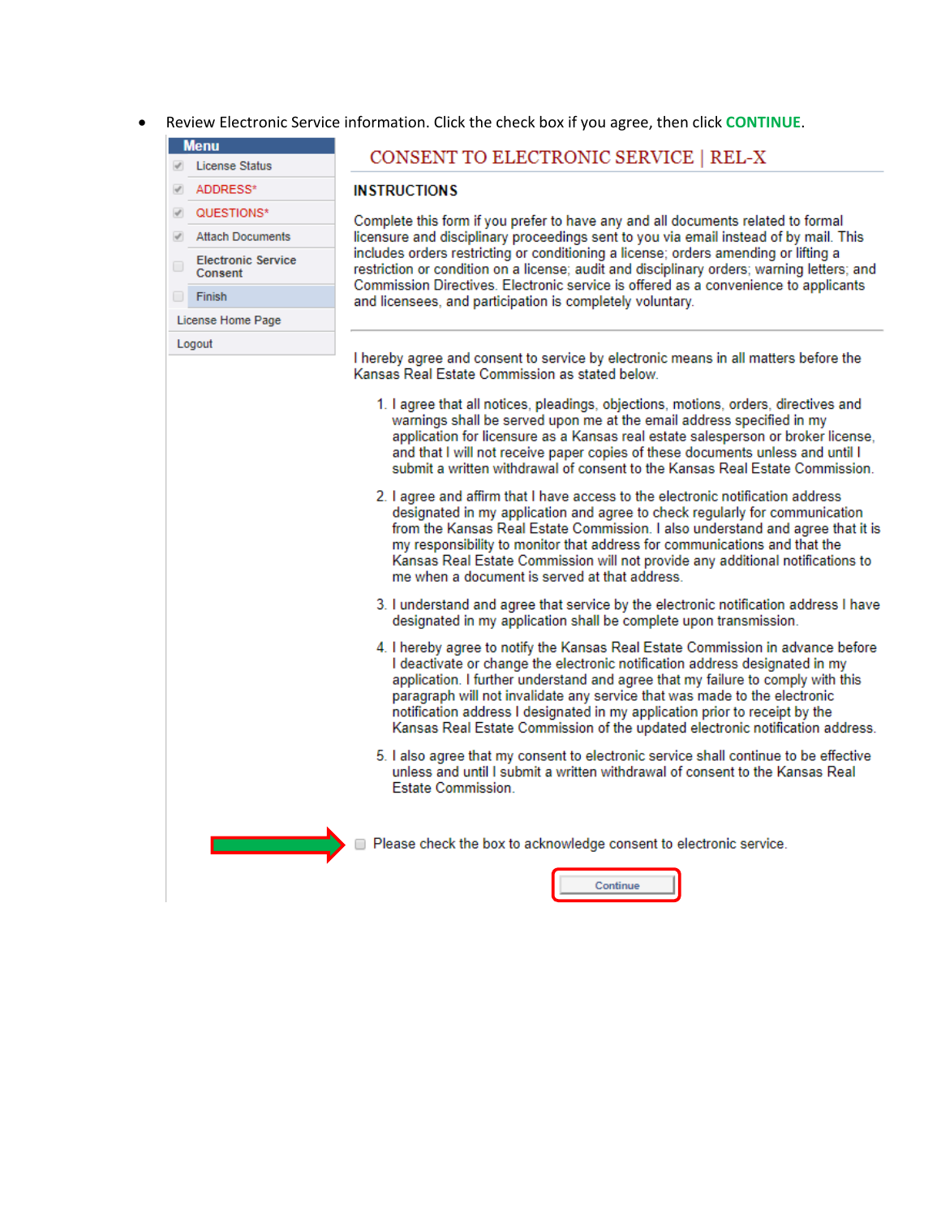Review Electronic Service information. Click the check box if you agree, then click CONTINUE.

## **Menu**

- **License Status** ADDRESS\*
- QUESTIONS\*  $\omega^{\mu}$
- Attach Documents
- **Electronic Service** Consent
- Finish

Logout

## License Home Page

## CONSENT TO ELECTRONIC SERVICE | REL-X

## **INSTRUCTIONS**

Complete this form if you prefer to have any and all documents related to formal licensure and disciplinary proceedings sent to you via email instead of by mail. This includes orders restricting or conditioning a license; orders amending or lifting a restriction or condition on a license; audit and disciplinary orders; warning letters; and Commission Directives. Electronic service is offered as a convenience to applicants and licensees, and participation is completely voluntary.

I hereby agree and consent to service by electronic means in all matters before the Kansas Real Estate Commission as stated below.

- 1. I agree that all notices, pleadings, objections, motions, orders, directives and warnings shall be served upon me at the email address specified in my application for licensure as a Kansas real estate salesperson or broker license, and that I will not receive paper copies of these documents unless and until I submit a written withdrawal of consent to the Kansas Real Estate Commission.
- 2. I agree and affirm that I have access to the electronic notification address designated in my application and agree to check regularly for communication from the Kansas Real Estate Commission. I also understand and agree that it is my responsibility to monitor that address for communications and that the Kansas Real Estate Commission will not provide any additional notifications to me when a document is served at that address.
- 3. I understand and agree that service by the electronic notification address I have designated in my application shall be complete upon transmission.
- 4. I hereby agree to notify the Kansas Real Estate Commission in advance before I deactivate or change the electronic notification address designated in my application. I further understand and agree that my failure to comply with this paragraph will not invalidate any service that was made to the electronic notification address I designated in my application prior to receipt by the Kansas Real Estate Commission of the updated electronic notification address.
- 5. I also agree that my consent to electronic service shall continue to be effective unless and until I submit a written withdrawal of consent to the Kansas Real **Estate Commission.**

Please check the box to acknowledge consent to electronic service.

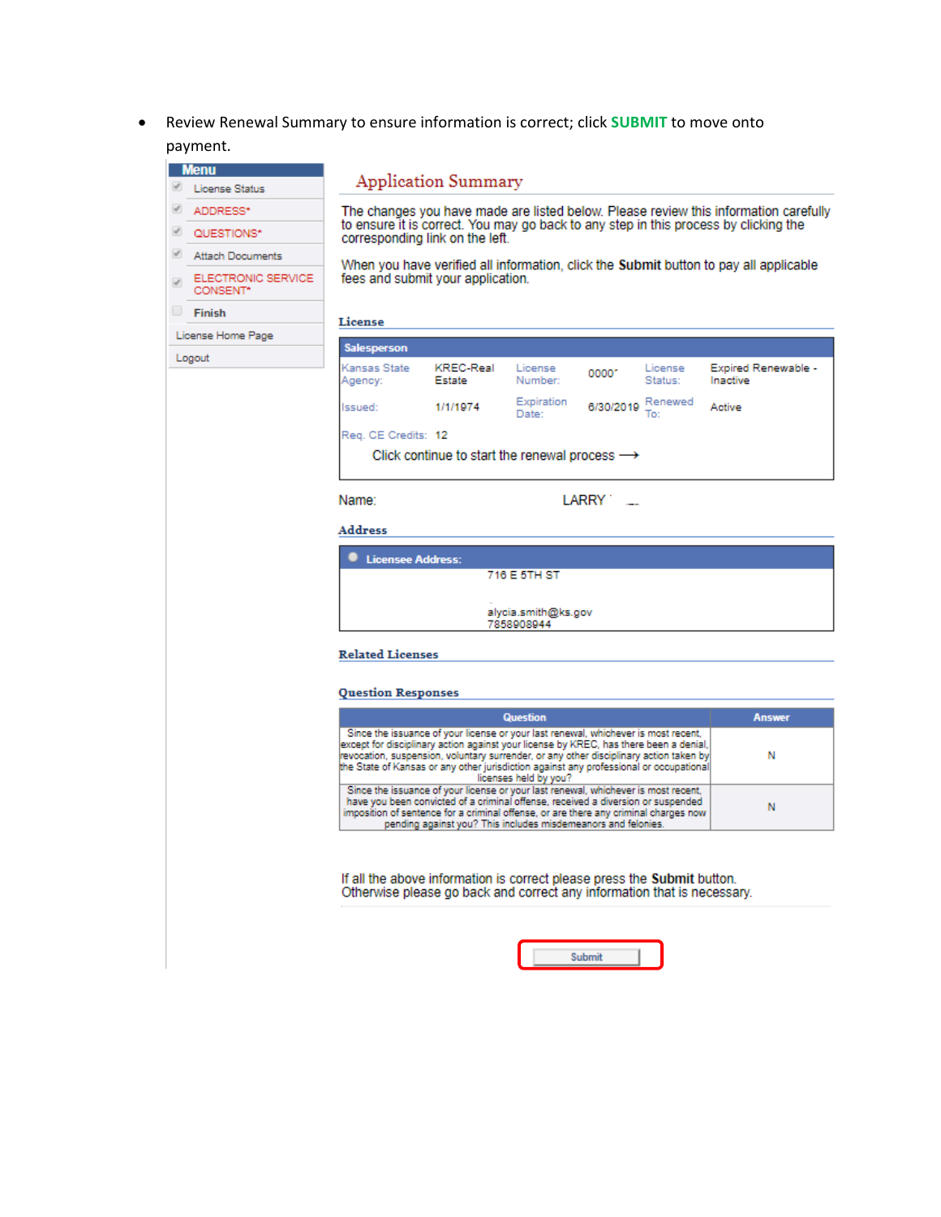Review Renewal Summary to ensure information is correct; click SUBMIT to move onto  $\bullet$ payment.

|   | <b>Menu</b>                    |                                                                                                                            | <b>Application Summary</b>                                |                     |           |                    |                                                                                      |  |
|---|--------------------------------|----------------------------------------------------------------------------------------------------------------------------|-----------------------------------------------------------|---------------------|-----------|--------------------|--------------------------------------------------------------------------------------|--|
|   | <b>License Status</b>          |                                                                                                                            |                                                           |                     |           |                    |                                                                                      |  |
|   | ADDRESS*                       |                                                                                                                            |                                                           |                     |           |                    | The changes you have made are listed below. Please review this information carefully |  |
|   | QUESTIONS*                     | to ensure it is correct. You may go back to any step in this process by clicking the<br>corresponding link on the left.    |                                                           |                     |           |                    |                                                                                      |  |
|   | <b>Attach Documents</b>        |                                                                                                                            |                                                           |                     |           |                    |                                                                                      |  |
|   | ELECTRONIC SERVICE<br>CONSENT* | When you have verified all information, click the Submit button to pay all applicable<br>fees and submit your application. |                                                           |                     |           |                    |                                                                                      |  |
| ▣ | Finish                         | License                                                                                                                    |                                                           |                     |           |                    |                                                                                      |  |
|   | License Home Page              |                                                                                                                            |                                                           |                     |           |                    |                                                                                      |  |
|   | Logout                         | <b>Salesperson</b>                                                                                                         |                                                           |                     |           |                    |                                                                                      |  |
|   |                                | Kansas State<br>Agency:                                                                                                    | <b>KREC-Real</b><br>Estate                                | License<br>Number:  | 0000*     | License<br>Status: | Expired Renewable -<br>Inactive                                                      |  |
|   |                                | Issued:                                                                                                                    | 1/1/1974                                                  | Expiration<br>Date: | 6/30/2019 | Renewed<br>Tot     | Active                                                                               |  |
|   |                                | Reg. CE Credits: 12                                                                                                        |                                                           |                     |           |                    |                                                                                      |  |
|   |                                |                                                                                                                            | Click continue to start the renewal process $\rightarrow$ |                     |           |                    |                                                                                      |  |
|   |                                |                                                                                                                            |                                                           |                     |           |                    |                                                                                      |  |
|   | Name:<br>LARRY T               |                                                                                                                            |                                                           |                     |           |                    |                                                                                      |  |
|   | <b>Address</b>                 |                                                                                                                            |                                                           |                     |           |                    |                                                                                      |  |
|   |                                | <b>Licensee Address:</b>                                                                                                   |                                                           |                     |           |                    |                                                                                      |  |
|   |                                |                                                                                                                            |                                                           | 716 E 5TH ST        |           |                    |                                                                                      |  |

**Related Licenses** 

#### **Question Responses**

| <b>Question</b>                                                                                                                                                                                                                                                                                                                                                                          | <b>Answer</b> |
|------------------------------------------------------------------------------------------------------------------------------------------------------------------------------------------------------------------------------------------------------------------------------------------------------------------------------------------------------------------------------------------|---------------|
| Since the issuance of your license or your last renewal, whichever is most recent,<br>except for disciplinary action against your license by KREC, has there been a denial,<br>revocation, suspension, voluntary surrender, or any other disciplinary action taken by<br>the State of Kansas or any other jurisdiction against any professional or occupational<br>licenses held by you? |               |
| Since the issuance of your license or your last renewal, whichever is most recent.<br>have you been convicted of a criminal offense, received a diversion or suspended<br>imposition of sentence for a criminal offense, or are there any criminal charges now<br>pending against you? This includes misdemeanors and felonies.                                                          |               |

If all the above information is correct please press the Submit button.<br>Otherwise please go back and correct any information that is necessary.

。<br>alycia.smith@ks.gov<br>7858908944

|--|--|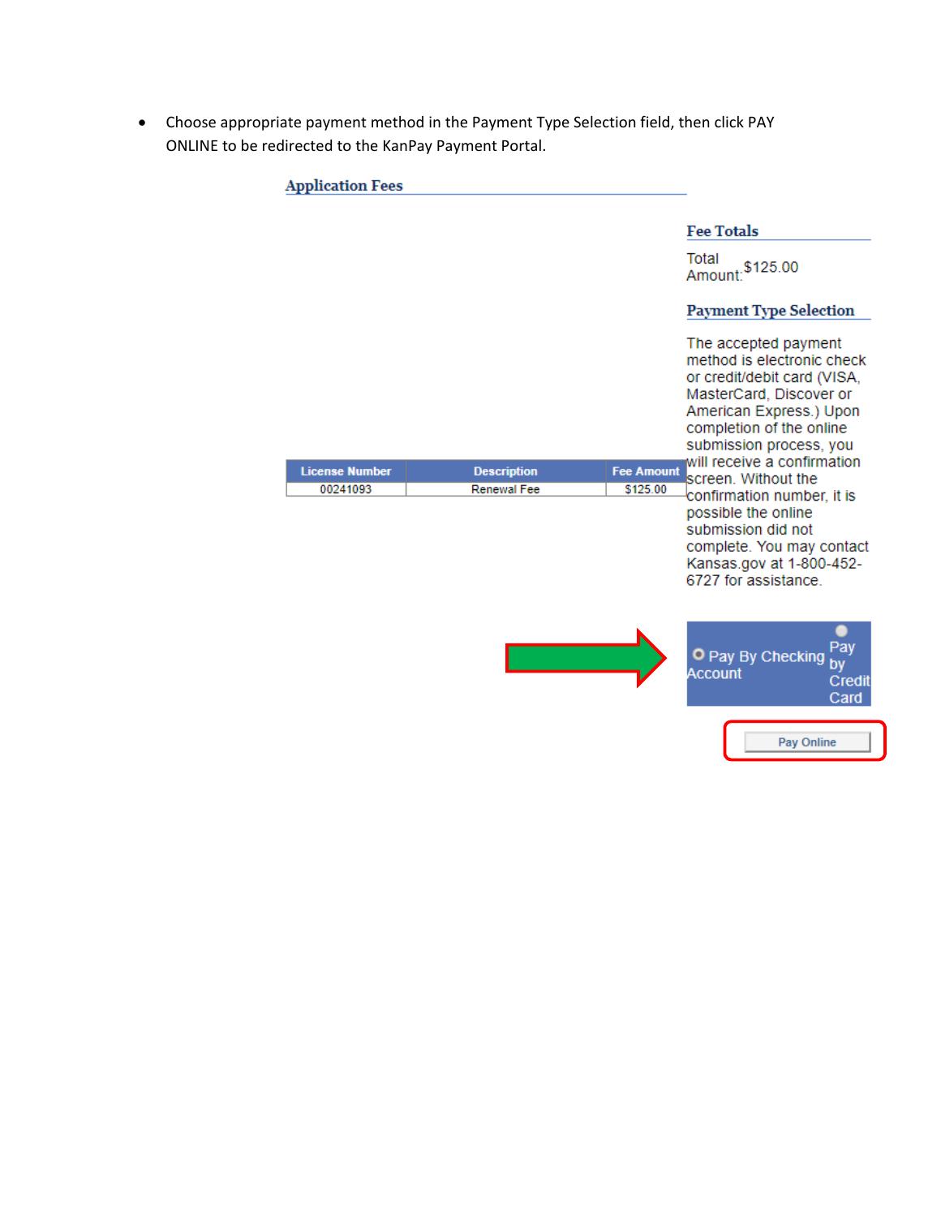Choose appropriate payment method in the Payment Type Selection field, then click PAY ONLINE to be redirected to the KanPay Payment Portal.

| <b>Application Fees</b> |                    |                   |                                                                                                                                                                                                |
|-------------------------|--------------------|-------------------|------------------------------------------------------------------------------------------------------------------------------------------------------------------------------------------------|
|                         |                    |                   | <b>Fee Totals</b>                                                                                                                                                                              |
|                         |                    |                   | Total<br>\$125.00<br>Amount:                                                                                                                                                                   |
|                         |                    |                   | <b>Payment Type Selection</b>                                                                                                                                                                  |
|                         |                    |                   | The accepted payment<br>method is electronic check<br>or credit/debit card (VISA,<br>MasterCard, Discover or<br>American Express.) Upon<br>completion of the online<br>submission process, you |
| <b>License Number</b>   | <b>Description</b> | <b>Fee Amount</b> | will receive a confirmation<br>screen. Without the                                                                                                                                             |
| 00241093                | <b>Renewal Fee</b> | \$125.00          | confirmation number, it is<br>possible the online<br>submission did not<br>complete. You may contact<br>Kansas.gov at 1-800-452-<br>6727 for assistance                                        |
|                         |                    |                   | Pay<br>O Pay By Checking<br>by<br><b>Account</b><br>Credit<br>Card                                                                                                                             |
|                         |                    |                   | Pay Online                                                                                                                                                                                     |
|                         |                    |                   |                                                                                                                                                                                                |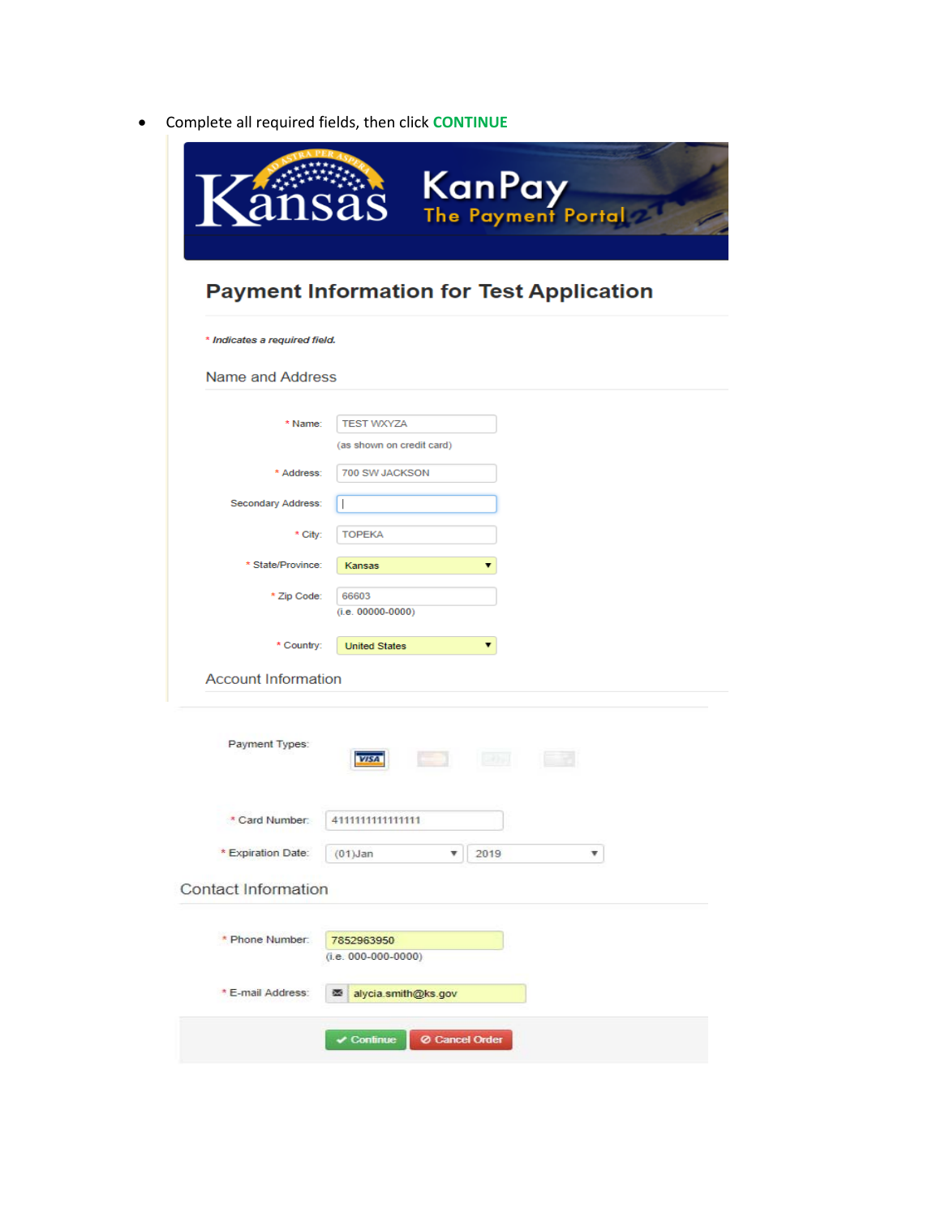Complete all required fields, then click **CONTINUE**

| <b>Payment Information for Test Application</b> |                                               |  |  |  |
|-------------------------------------------------|-----------------------------------------------|--|--|--|
| * Indicates a required field.                   |                                               |  |  |  |
| Name and Address                                |                                               |  |  |  |
| * Name:                                         | <b>TEST WXYZA</b>                             |  |  |  |
|                                                 | (as shown on credit card)                     |  |  |  |
| * Address:                                      | 700 SW JACKSON                                |  |  |  |
| Secondary Address:                              |                                               |  |  |  |
| * City:                                         | <b>TOPEKA</b>                                 |  |  |  |
| * State/Province:                               | Kansas                                        |  |  |  |
| * Zip Code:                                     | 66603<br>$(i.e. 00000-0000)$                  |  |  |  |
| * Country:                                      | ▼<br><b>United States</b>                     |  |  |  |
| <b>Account Information</b>                      |                                               |  |  |  |
| Payment Types:                                  | ا د ک<br><b>LEADERS</b><br><b>VISA</b><br>E H |  |  |  |
| * Card Number.                                  | 411111111111111                               |  |  |  |
| * Expiration Date:                              | 2019<br>$(01)$ Jan                            |  |  |  |
| <b>Contact Information</b>                      |                                               |  |  |  |
| * Phone Number:                                 | 7852963950<br>$(i.e. 000-000-0000)$           |  |  |  |
|                                                 |                                               |  |  |  |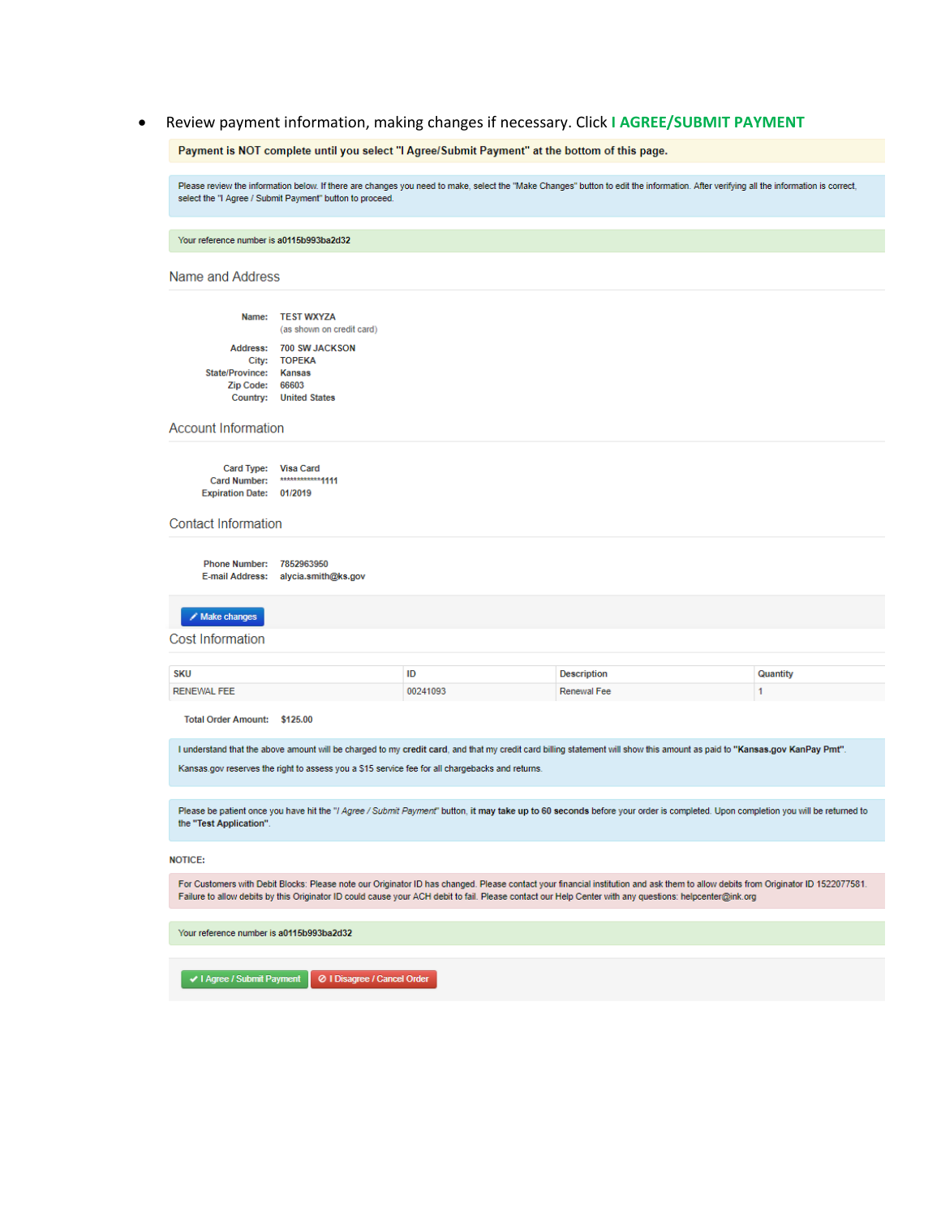Review payment information, making changes if necessary. Click I AGREE/SUBMIT PAYMENT  $\bullet$ 

Payment is NOT complete until you select "I Agree/Submit Payment" at the bottom of this page.

Please review the information below. If there are changes you need to make, select the "Make Changes" button to edit the information. After verifying all the information is correct, select the "I Agree / Submit Payment" button to proceed.

Your reference number is a0115b993ba2d32

Name and Address

|                        | Name: TEST WXYZA<br>(as shown on credit card) |
|------------------------|-----------------------------------------------|
|                        | Address: 700 SW JACKSON                       |
|                        | City: TOPEKA                                  |
| State/Province: Kansas |                                               |
| Zip Code: 66603        |                                               |
|                        | Country: United States                        |
|                        |                                               |

**Account Information** 

Card Type: Visa Card<br>Card Number: \*\*\*\*\*\*\*\*\*\*\*\*\*1111 Expiration Date: 01/2019

#### **Contact Information**

Phone Number: 7852963950 E-mail Address: alycia.smith@ks.gov

 $\angle$  Make changes

**Cost Information** 

| <b>SKU</b>  | ID       | ≅eription   | Juantity |
|-------------|----------|-------------|----------|
| RENEWAL FEE | 10241093 | Renewal Fee |          |

Total Order Amount: \$125.00

I understand that the above amount will be charged to my credit card, and that my credit card billing statement will show this amount as paid to "Kansas.gov KanPay Pmt". Kansas.gov reserves the right to assess you a \$15 service fee for all chargebacks and returns.

Please be patient once you have hit the "/ Agree / Submit Payment" button, it may take up to 60 seconds before your order is completed. Upon completion you will be returned to the "Test Application".

**NOTICE:** 

For Customers with Debit Blocks: Please note our Originator ID has changed. Please contact your financial institution and ask them to allow debits from Originator ID 1522077581. Failure to allow debits by this Originator ID could cause your ACH debit to fail. Please contact our Help Center with any questions: helpcenter@ink.org

Your reference number is a0115b993ba2d32

↓ | Agree / Submit Payment | ⊘ | Disagree / Cancel Order